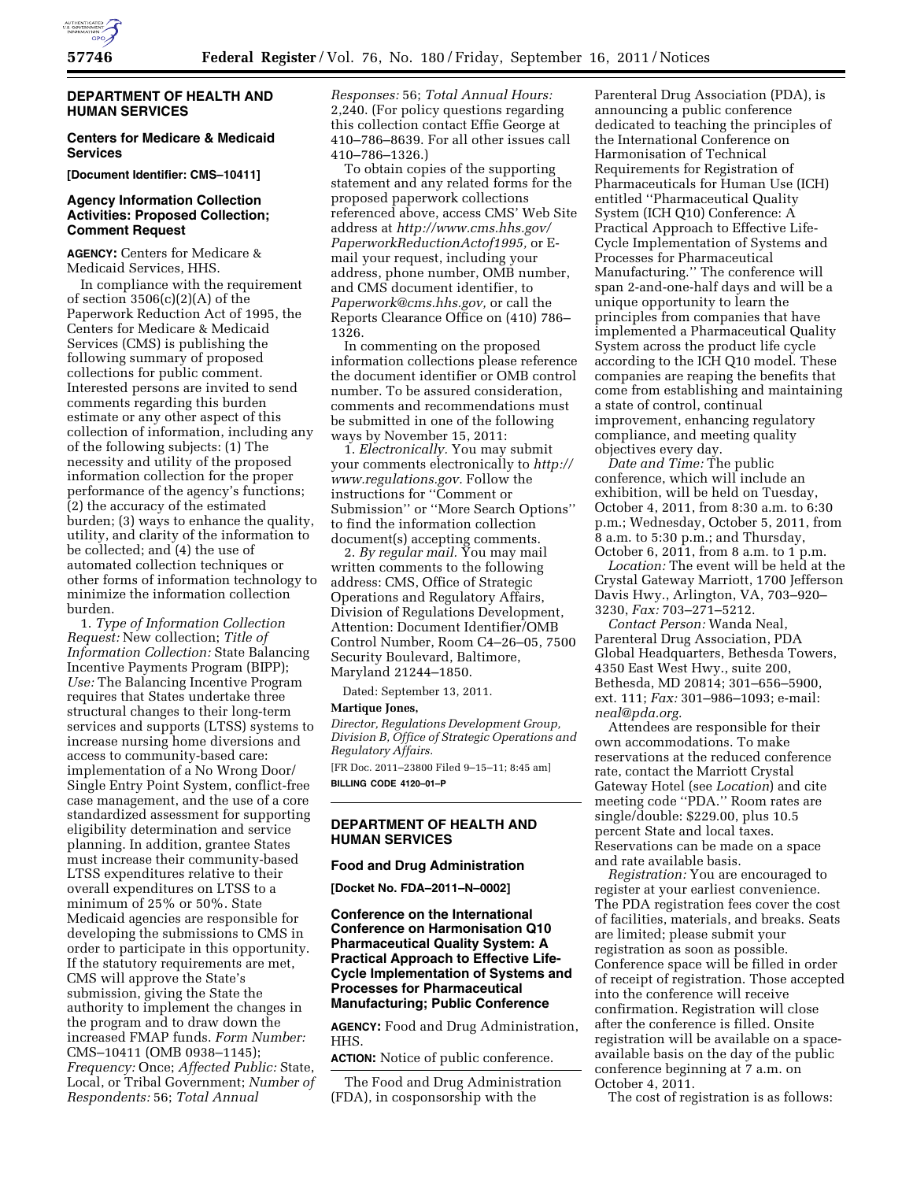

# **DEPARTMENT OF HEALTH AND HUMAN SERVICES**

## **Centers for Medicare & Medicaid Services**

**[Document Identifier: CMS–10411]** 

# **Agency Information Collection Activities: Proposed Collection; Comment Request**

**AGENCY:** Centers for Medicare & Medicaid Services, HHS.

In compliance with the requirement of section  $3506(c)(2)(A)$  of the Paperwork Reduction Act of 1995, the Centers for Medicare & Medicaid Services (CMS) is publishing the following summary of proposed collections for public comment. Interested persons are invited to send comments regarding this burden estimate or any other aspect of this collection of information, including any of the following subjects: (1) The necessity and utility of the proposed information collection for the proper performance of the agency's functions; (2) the accuracy of the estimated burden; (3) ways to enhance the quality, utility, and clarity of the information to be collected; and (4) the use of automated collection techniques or other forms of information technology to minimize the information collection burden.

1. *Type of Information Collection Request:* New collection; *Title of Information Collection:* State Balancing Incentive Payments Program (BIPP); *Use:* The Balancing Incentive Program requires that States undertake three structural changes to their long-term services and supports (LTSS) systems to increase nursing home diversions and access to community-based care: implementation of a No Wrong Door/ Single Entry Point System, conflict-free case management, and the use of a core standardized assessment for supporting eligibility determination and service planning. In addition, grantee States must increase their community-based LTSS expenditures relative to their overall expenditures on LTSS to a minimum of 25% or 50%. State Medicaid agencies are responsible for developing the submissions to CMS in order to participate in this opportunity. If the statutory requirements are met, CMS will approve the State's submission, giving the State the authority to implement the changes in the program and to draw down the increased FMAP funds. *Form Number:*  CMS–10411 (OMB 0938–1145); *Frequency:* Once; *Affected Public:* State, Local, or Tribal Government; *Number of Respondents:* 56; *Total Annual* 

*Responses:* 56; *Total Annual Hours:*  2,240. (For policy questions regarding this collection contact Effie George at 410–786–8639. For all other issues call 410–786–1326.)

To obtain copies of the supporting statement and any related forms for the proposed paperwork collections referenced above, access CMS' Web Site address at *[http://www.cms.hhs.gov/](http://www.cms.hhs.gov/PaperworkReductionActof1995) [PaperworkReductionActof1995,](http://www.cms.hhs.gov/PaperworkReductionActof1995)* or Email your request, including your address, phone number, OMB number, and CMS document identifier, to *[Paperwork@cms.hhs.gov,](mailto:Paperwork@cms.hhs.gov)* or call the Reports Clearance Office on (410) 786– 1326.

In commenting on the proposed information collections please reference the document identifier or OMB control number. To be assured consideration, comments and recommendations must be submitted in one of the following ways by November 15, 2011:

1. *Electronically.* You may submit your comments electronically to *[http://](http://www.regulations.gov) [www.regulations.gov.](http://www.regulations.gov)* Follow the instructions for ''Comment or Submission'' or ''More Search Options'' to find the information collection document(s) accepting comments.

2. *By regular mail.* You may mail written comments to the following address: CMS, Office of Strategic Operations and Regulatory Affairs, Division of Regulations Development, Attention: Document Identifier/OMB Control Number, Room C4–26–05, 7500 Security Boulevard, Baltimore, Maryland 21244–1850.

Dated: September 13, 2011.

#### **Martique Jones,**

*Director, Regulations Development Group, Division B, Office of Strategic Operations and Regulatory Affairs.* 

[FR Doc. 2011–23800 Filed 9–15–11; 8:45 am] **BILLING CODE 4120–01–P** 

# **DEPARTMENT OF HEALTH AND HUMAN SERVICES**

### **Food and Drug Administration**

**[Docket No. FDA–2011–N–0002]** 

**Conference on the International Conference on Harmonisation Q10 Pharmaceutical Quality System: A Practical Approach to Effective Life-Cycle Implementation of Systems and Processes for Pharmaceutical Manufacturing; Public Conference** 

**AGENCY:** Food and Drug Administration, HHS.

**ACTION:** Notice of public conference.

The Food and Drug Administration (FDA), in cosponsorship with the

Parenteral Drug Association (PDA), is announcing a public conference dedicated to teaching the principles of the International Conference on Harmonisation of Technical Requirements for Registration of Pharmaceuticals for Human Use (ICH) entitled ''Pharmaceutical Quality System (ICH Q10) Conference: A Practical Approach to Effective Life-Cycle Implementation of Systems and Processes for Pharmaceutical Manufacturing.'' The conference will span 2-and-one-half days and will be a unique opportunity to learn the principles from companies that have implemented a Pharmaceutical Quality System across the product life cycle according to the ICH Q10 model. These companies are reaping the benefits that come from establishing and maintaining a state of control, continual improvement, enhancing regulatory compliance, and meeting quality objectives every day.

*Date and Time:* The public conference, which will include an exhibition, will be held on Tuesday, October 4, 2011, from 8:30 a.m. to 6:30 p.m.; Wednesday, October 5, 2011, from 8 a.m. to 5:30 p.m.; and Thursday, October 6, 2011, from 8 a.m. to 1 p.m.

*Location:* The event will be held at the Crystal Gateway Marriott, 1700 Jefferson Davis Hwy., Arlington, VA, 703–920– 3230, *Fax:* 703–271–5212.

*Contact Person:* Wanda Neal, Parenteral Drug Association, PDA Global Headquarters, Bethesda Towers, 4350 East West Hwy., suite 200, Bethesda, MD 20814; 301–656–5900, ext. 111; *Fax:* 301–986–1093; e-mail: *[neal@pda.org.](mailto:neal@pda.org)* 

Attendees are responsible for their own accommodations. To make reservations at the reduced conference rate, contact the Marriott Crystal Gateway Hotel (see *Location*) and cite meeting code ''PDA.'' Room rates are single/double: \$229.00, plus 10.5 percent State and local taxes. Reservations can be made on a space and rate available basis.

*Registration:* You are encouraged to register at your earliest convenience. The PDA registration fees cover the cost of facilities, materials, and breaks. Seats are limited; please submit your registration as soon as possible. Conference space will be filled in order of receipt of registration. Those accepted into the conference will receive confirmation. Registration will close after the conference is filled. Onsite registration will be available on a spaceavailable basis on the day of the public conference beginning at 7 a.m. on October 4, 2011.

The cost of registration is as follows: